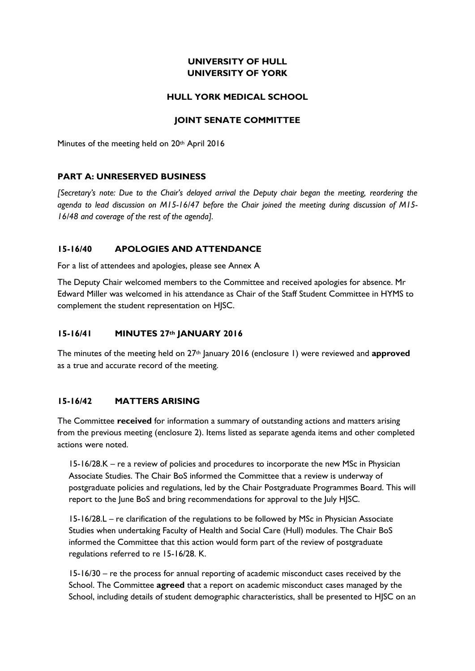# **UNIVERSITY OF HULL UNIVERSITY OF YORK**

#### **HULL YORK MEDICAL SCHOOL**

#### **JOINT SENATE COMMITTEE**

Minutes of the meeting held on 20<sup>th</sup> April 2016

#### **PART A: UNRESERVED BUSINESS**

*[Secretary's note: Due to the Chair's delayed arrival the Deputy chair began the meeting, reordering the agenda to lead discussion on M15-16/47 before the Chair joined the meeting during discussion of M15- 16/48 and coverage of the rest of the agenda].* 

### **15-16/40 APOLOGIES AND ATTENDANCE**

For a list of attendees and apologies, please see Annex A

The Deputy Chair welcomed members to the Committee and received apologies for absence. Mr Edward Miller was welcomed in his attendance as Chair of the Staff Student Committee in HYMS to complement the student representation on HJSC.

#### **15-16/41 MINUTES 27th JANUARY 2016**

The minutes of the meeting held on 27th January 2016 (enclosure 1) were reviewed and **approved** as a true and accurate record of the meeting.

#### **15-16/42 MATTERS ARISING**

The Committee **received** for information a summary of outstanding actions and matters arising from the previous meeting (enclosure 2). Items listed as separate agenda items and other completed actions were noted.

15-16/28.K – re a review of policies and procedures to incorporate the new MSc in Physician Associate Studies. The Chair BoS informed the Committee that a review is underway of postgraduate policies and regulations, led by the Chair Postgraduate Programmes Board. This will report to the June BoS and bring recommendations for approval to the July HJSC.

15-16/28.L – re clarification of the regulations to be followed by MSc in Physician Associate Studies when undertaking Faculty of Health and Social Care (Hull) modules. The Chair BoS informed the Committee that this action would form part of the review of postgraduate regulations referred to re 15-16/28. K.

15-16/30 – re the process for annual reporting of academic misconduct cases received by the School. The Committee **agreed** that a report on academic misconduct cases managed by the School, including details of student demographic characteristics, shall be presented to HJSC on an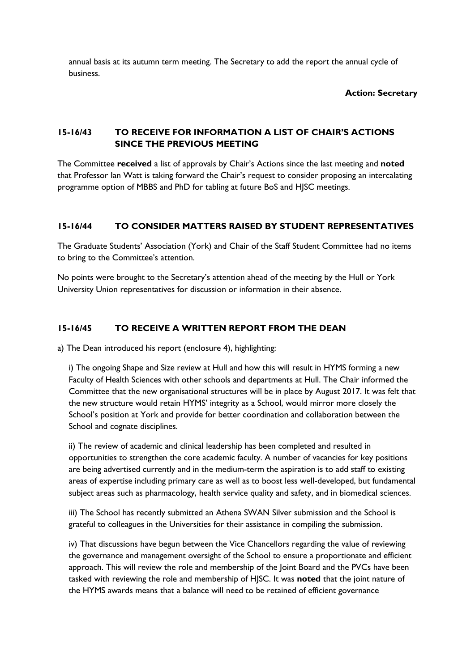annual basis at its autumn term meeting. The Secretary to add the report the annual cycle of business.

#### **Action: Secretary**

# **15-16/43 TO RECEIVE FOR INFORMATION A LIST OF CHAIR'S ACTIONS SINCE THE PREVIOUS MEETING**

The Committee **received** a list of approvals by Chair's Actions since the last meeting and **noted**  that Professor Ian Watt is taking forward the Chair's request to consider proposing an intercalating programme option of MBBS and PhD for tabling at future BoS and HJSC meetings.

# **15-16/44 TO CONSIDER MATTERS RAISED BY STUDENT REPRESENTATIVES**

The Graduate Students' Association (York) and Chair of the Staff Student Committee had no items to bring to the Committee's attention.

No points were brought to the Secretary's attention ahead of the meeting by the Hull or York University Union representatives for discussion or information in their absence.

## **15-16/45 TO RECEIVE A WRITTEN REPORT FROM THE DEAN**

a) The Dean introduced his report (enclosure 4), highlighting:

i) The ongoing Shape and Size review at Hull and how this will result in HYMS forming a new Faculty of Health Sciences with other schools and departments at Hull. The Chair informed the Committee that the new organisational structures will be in place by August 2017. It was felt that the new structure would retain HYMS' integrity as a School, would mirror more closely the School's position at York and provide for better coordination and collaboration between the School and cognate disciplines.

ii) The review of academic and clinical leadership has been completed and resulted in opportunities to strengthen the core academic faculty. A number of vacancies for key positions are being advertised currently and in the medium-term the aspiration is to add staff to existing areas of expertise including primary care as well as to boost less well-developed, but fundamental subject areas such as pharmacology, health service quality and safety, and in biomedical sciences.

iii) The School has recently submitted an Athena SWAN Silver submission and the School is grateful to colleagues in the Universities for their assistance in compiling the submission.

iv) That discussions have begun between the Vice Chancellors regarding the value of reviewing the governance and management oversight of the School to ensure a proportionate and efficient approach. This will review the role and membership of the Joint Board and the PVCs have been tasked with reviewing the role and membership of HJSC. It was **noted** that the joint nature of the HYMS awards means that a balance will need to be retained of efficient governance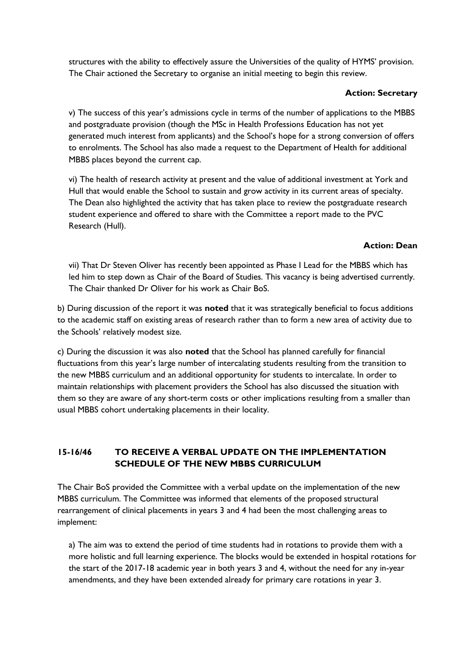structures with the ability to effectively assure the Universities of the quality of HYMS' provision. The Chair actioned the Secretary to organise an initial meeting to begin this review.

### **Action: Secretary**

v) The success of this year's admissions cycle in terms of the number of applications to the MBBS and postgraduate provision (though the MSc in Health Professions Education has not yet generated much interest from applicants) and the School's hope for a strong conversion of offers to enrolments. The School has also made a request to the Department of Health for additional MBBS places beyond the current cap.

vi) The health of research activity at present and the value of additional investment at York and Hull that would enable the School to sustain and grow activity in its current areas of specialty. The Dean also highlighted the activity that has taken place to review the postgraduate research student experience and offered to share with the Committee a report made to the PVC Research (Hull).

## **Action: Dean**

vii) That Dr Steven Oliver has recently been appointed as Phase I Lead for the MBBS which has led him to step down as Chair of the Board of Studies. This vacancy is being advertised currently. The Chair thanked Dr Oliver for his work as Chair BoS.

b) During discussion of the report it was **noted** that it was strategically beneficial to focus additions to the academic staff on existing areas of research rather than to form a new area of activity due to the Schools' relatively modest size.

c) During the discussion it was also **noted** that the School has planned carefully for financial fluctuations from this year's large number of intercalating students resulting from the transition to the new MBBS curriculum and an additional opportunity for students to intercalate. In order to maintain relationships with placement providers the School has also discussed the situation with them so they are aware of any short-term costs or other implications resulting from a smaller than usual MBBS cohort undertaking placements in their locality.

# **15-16/46 TO RECEIVE A VERBAL UPDATE ON THE IMPLEMENTATION SCHEDULE OF THE NEW MBBS CURRICULUM**

The Chair BoS provided the Committee with a verbal update on the implementation of the new MBBS curriculum. The Committee was informed that elements of the proposed structural rearrangement of clinical placements in years 3 and 4 had been the most challenging areas to implement:

a) The aim was to extend the period of time students had in rotations to provide them with a more holistic and full learning experience. The blocks would be extended in hospital rotations for the start of the 2017-18 academic year in both years 3 and 4, without the need for any in-year amendments, and they have been extended already for primary care rotations in year 3.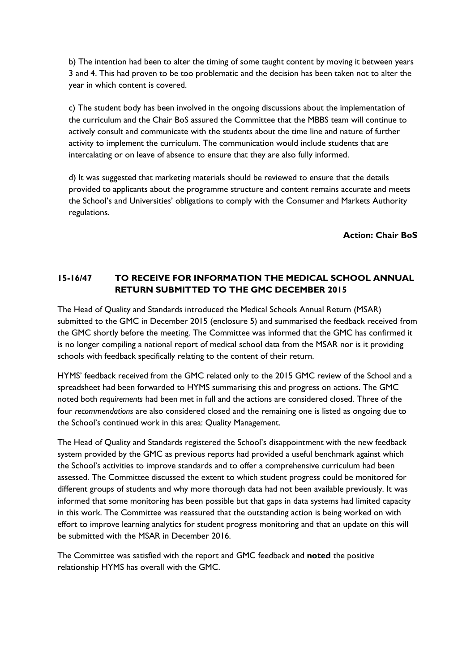b) The intention had been to alter the timing of some taught content by moving it between years 3 and 4. This had proven to be too problematic and the decision has been taken not to alter the year in which content is covered.

c) The student body has been involved in the ongoing discussions about the implementation of the curriculum and the Chair BoS assured the Committee that the MBBS team will continue to actively consult and communicate with the students about the time line and nature of further activity to implement the curriculum. The communication would include students that are intercalating or on leave of absence to ensure that they are also fully informed.

d) It was suggested that marketing materials should be reviewed to ensure that the details provided to applicants about the programme structure and content remains accurate and meets the School's and Universities' obligations to comply with the Consumer and Markets Authority regulations.

**Action: Chair BoS**

# **15-16/47 TO RECEIVE FOR INFORMATION THE MEDICAL SCHOOL ANNUAL RETURN SUBMITTED TO THE GMC DECEMBER 2015**

The Head of Quality and Standards introduced the Medical Schools Annual Return (MSAR) submitted to the GMC in December 2015 (enclosure 5) and summarised the feedback received from the GMC shortly before the meeting. The Committee was informed that the GMC has confirmed it is no longer compiling a national report of medical school data from the MSAR nor is it providing schools with feedback specifically relating to the content of their return.

HYMS' feedback received from the GMC related only to the 2015 GMC review of the School and a spreadsheet had been forwarded to HYMS summarising this and progress on actions. The GMC noted both *requirements* had been met in full and the actions are considered closed. Three of the four *recommendations* are also considered closed and the remaining one is listed as ongoing due to the School's continued work in this area: Quality Management.

The Head of Quality and Standards registered the School's disappointment with the new feedback system provided by the GMC as previous reports had provided a useful benchmark against which the School's activities to improve standards and to offer a comprehensive curriculum had been assessed. The Committee discussed the extent to which student progress could be monitored for different groups of students and why more thorough data had not been available previously. It was informed that some monitoring has been possible but that gaps in data systems had limited capacity in this work. The Committee was reassured that the outstanding action is being worked on with effort to improve learning analytics for student progress monitoring and that an update on this will be submitted with the MSAR in December 2016.

The Committee was satisfied with the report and GMC feedback and **noted** the positive relationship HYMS has overall with the GMC.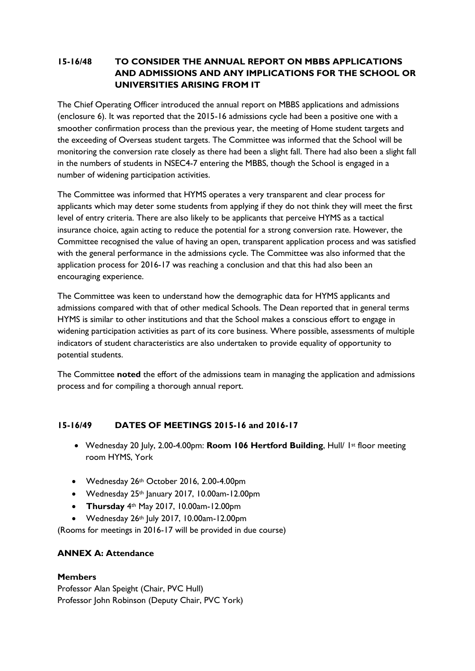# **15-16/48 TO CONSIDER THE ANNUAL REPORT ON MBBS APPLICATIONS AND ADMISSIONS AND ANY IMPLICATIONS FOR THE SCHOOL OR UNIVERSITIES ARISING FROM IT**

The Chief Operating Officer introduced the annual report on MBBS applications and admissions (enclosure 6). It was reported that the 2015-16 admissions cycle had been a positive one with a smoother confirmation process than the previous year, the meeting of Home student targets and the exceeding of Overseas student targets. The Committee was informed that the School will be monitoring the conversion rate closely as there had been a slight fall. There had also been a slight fall in the numbers of students in NSEC4-7 entering the MBBS, though the School is engaged in a number of widening participation activities.

The Committee was informed that HYMS operates a very transparent and clear process for applicants which may deter some students from applying if they do not think they will meet the first level of entry criteria. There are also likely to be applicants that perceive HYMS as a tactical insurance choice, again acting to reduce the potential for a strong conversion rate. However, the Committee recognised the value of having an open, transparent application process and was satisfied with the general performance in the admissions cycle. The Committee was also informed that the application process for 2016-17 was reaching a conclusion and that this had also been an encouraging experience.

The Committee was keen to understand how the demographic data for HYMS applicants and admissions compared with that of other medical Schools. The Dean reported that in general terms HYMS is similar to other institutions and that the School makes a conscious effort to engage in widening participation activities as part of its core business. Where possible, assessments of multiple indicators of student characteristics are also undertaken to provide equality of opportunity to potential students.

The Committee **noted** the effort of the admissions team in managing the application and admissions process and for compiling a thorough annual report.

# **15-16/49 DATES OF MEETINGS 2015-16 and 2016-17**

- Wednesday 20 July, 2.00-4.00pm: **Room 106 Hertford Building**, Hull/ 1st floor meeting room HYMS, York
- Wednesday 26th October 2016, 2.00-4.00pm
- Wednesday 25<sup>th</sup> January 2017, 10.00am-12.00pm
- **Thursday** 4th May 2017, 10.00am-12.00pm
- $\bullet$  Wednesday 26<sup>th</sup> July 2017, 10.00am-12.00pm

(Rooms for meetings in 2016-17 will be provided in due course)

# **ANNEX A: Attendance**

#### **Members**

Professor Alan Speight (Chair, PVC Hull) Professor John Robinson (Deputy Chair, PVC York)